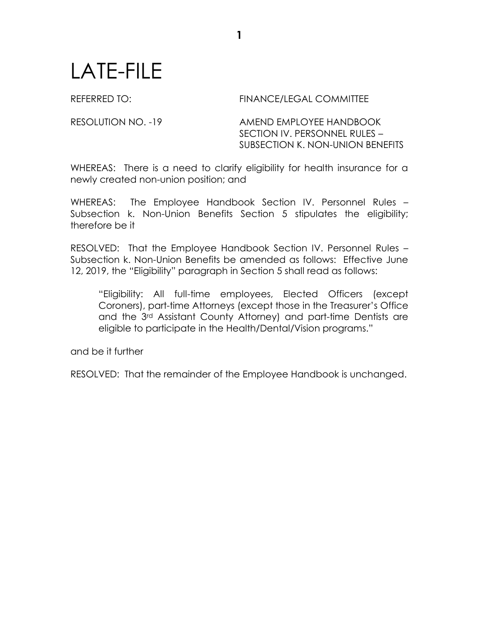## LATE-FILE

REFERRED TO: FINANCE/LEGAL COMMITTEE

RESOLUTION NO. -19 AMEND EMPLOYEE HANDBOOK SECTION IV. PERSONNEL RULES – SUBSECTION K. NON-UNION BENEFITS

WHEREAS: There is a need to clarify eligibility for health insurance for a newly created non-union position; and

**1**

WHEREAS: The Employee Handbook Section IV. Personnel Rules – Subsection k. Non-Union Benefits Section 5 stipulates the eligibility; therefore be it

RESOLVED: That the Employee Handbook Section IV. Personnel Rules – Subsection k. Non-Union Benefits be amended as follows: Effective June 12, 2019, the "Eligibility" paragraph in Section 5 shall read as follows:

"Eligibility: All full-time employees, Elected Officers (except Coroners), part-time Attorneys (except those in the Treasurer's Office and the 3rd Assistant County Attorney) and part-time Dentists are eligible to participate in the Health/Dental/Vision programs."

and be it further

RESOLVED: That the remainder of the Employee Handbook is unchanged.